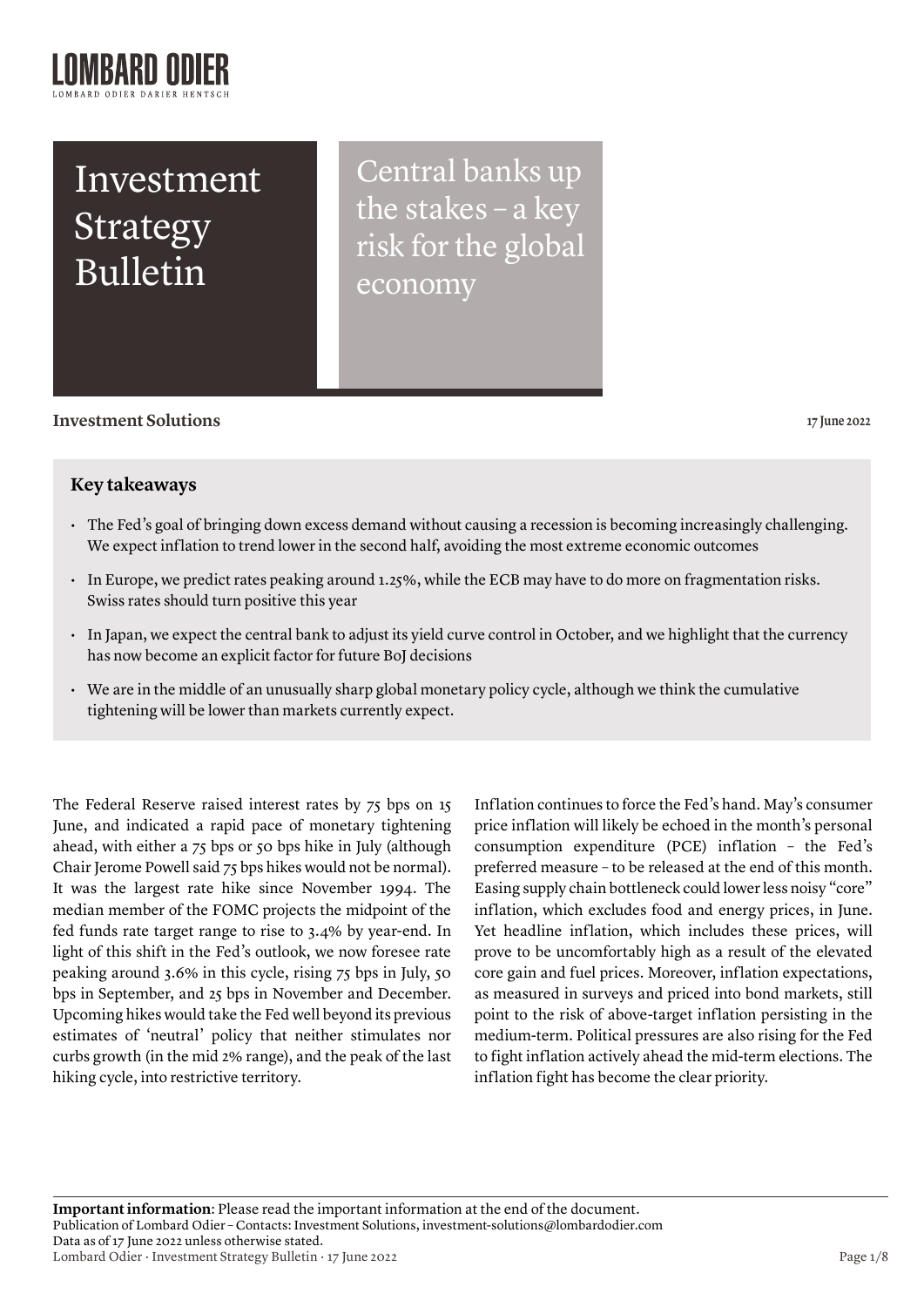# Investment Strategy Bulletin

Central banks up the stakes – a key risk for the global economy

## **Investment Solutions 17 June 2022**

## **Key takeaways**

- The Fed's goal of bringing down excess demand without causing a recession is becoming increasingly challenging. We expect inflation to trend lower in the second half, avoiding the most extreme economic outcomes
- In Europe, we predict rates peaking around 1.25%, while the ECB may have to do more on fragmentation risks. Swiss rates should turn positive this year
- In Japan, we expect the central bank to adjust its yield curve control in October, and we highlight that the currency has now become an explicit factor for future BoJ decisions
- We are in the middle of an unusually sharp global monetary policy cycle, although we think the cumulative tightening will be lower than markets currently expect.

The Federal Reserve raised interest rates by 75 bps on 15 June, and indicated a rapid pace of monetary tightening ahead, with either a 75 bps or 50 bps hike in July (although Chair Jerome Powell said 75 bps hikes would not be normal). It was the largest rate hike since November 1994. The median member of the FOMC projects the midpoint of the fed funds rate target range to rise to 3.4% by year-end. In light of this shift in the Fed's outlook, we now foresee rate peaking around 3.6% in this cycle, rising 75 bps in July, 50 bps in September, and 25 bps in November and December. Upcoming hikes would take the Fed well beyond its previous estimates of 'neutral' policy that neither stimulates nor curbs growth (in the mid 2% range), and the peak of the last hiking cycle, into restrictive territory.

Inflation continues to force the Fed's hand. May's consumer price inflation will likely be echoed in the month's personal consumption expenditure (PCE) inflation – the Fed's preferred measure – to be released at the end of this month. Easing supply chain bottleneck could lower less noisy "core" inflation, which excludes food and energy prices, in June. Yet headline inflation, which includes these prices, will prove to be uncomfortably high as a result of the elevated core gain and fuel prices. Moreover, inflation expectations, as measured in surveys and priced into bond markets, still point to the risk of above-target inflation persisting in the medium-term. Political pressures are also rising for the Fed to fight inflation actively ahead the mid-term elections. The inflation fight has become the clear priority.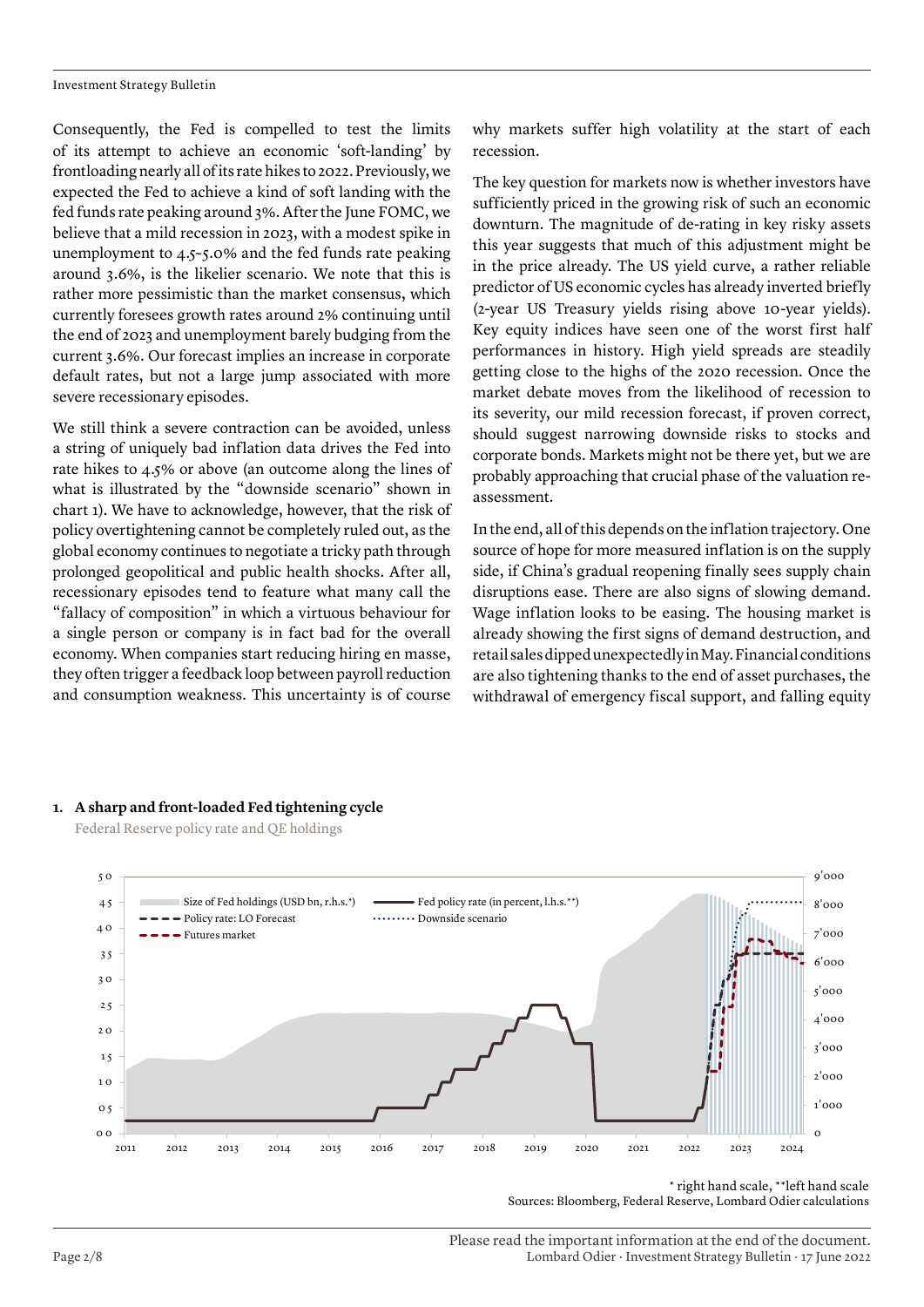Investment Strategy Bulletin

Consequently, the Fed is compelled to test the limits of its attempt to achieve an economic 'soft-landing' by frontloading nearly all of its rate hikes to 2022. Previously, we expected the Fed to achieve a kind of soft landing with the fed funds rate peaking around 3%. After the June FOMC, we believe that a mild recession in 2023, with a modest spike in unemployment to 4.5~5.0% and the fed funds rate peaking around 3.6%, is the likelier scenario. We note that this is rather more pessimistic than the market consensus, which currently foresees growth rates around 2% continuing until the end of 2023 and unemployment barely budging from the current 3.6%. Our forecast implies an increase in corporate default rates, but not a large jump associated with more severe recessionary episodes.

We still think a severe contraction can be avoided, unless a string of uniquely bad inflation data drives the Fed into rate hikes to 4.5% or above (an outcome along the lines of what is illustrated by the "downside scenario" shown in chart 1). We have to acknowledge, however, that the risk of policy overtightening cannot be completely ruled out, as the global economy continues to negotiate a tricky path through prolonged geopolitical and public health shocks. After all, recessionary episodes tend to feature what many call the "fallacy of composition" in which a virtuous behaviour for a single person or company is in fact bad for the overall economy. When companies start reducing hiring en masse, they often trigger a feedback loop between payroll reduction and consumption weakness. This uncertainty is of course why markets suffer high volatility at the start of each recession.

The key question for markets now is whether investors have sufficiently priced in the growing risk of such an economic downturn. The magnitude of de-rating in key risky assets this year suggests that much of this adjustment might be in the price already. The US yield curve, a rather reliable predictor of US economic cycles has already inverted briefly (2-year US Treasury yields rising above 10-year yields). Key equity indices have seen one of the worst first half performances in history. High yield spreads are steadily getting close to the highs of the 2020 recession. Once the market debate moves from the likelihood of recession to its severity, our mild recession forecast, if proven correct, should suggest narrowing downside risks to stocks and corporate bonds. Markets might not be there yet, but we are probably approaching that crucial phase of the valuation reassessment.

In the end, all of this depends on the inflation trajectory. One source of hope for more measured inflation is on the supply side, if China's gradual reopening finally sees supply chain disruptions ease. There are also signs of slowing demand. Wage inflation looks to be easing. The housing market is already showing the first signs of demand destruction, and retail sales dipped unexpectedly in May. Financial conditions are also tightening thanks to the end of asset purchases, the withdrawal of emergency fiscal support, and falling equity

## **1. A sharp and front-loaded Fed tightening cycle**

Federal Reserve policy rate and QE holdings



 <sup>\*</sup> right hand scale, \*\*left hand scale Sources: Bloomberg, Federal Reserve, Lombard Odier calculations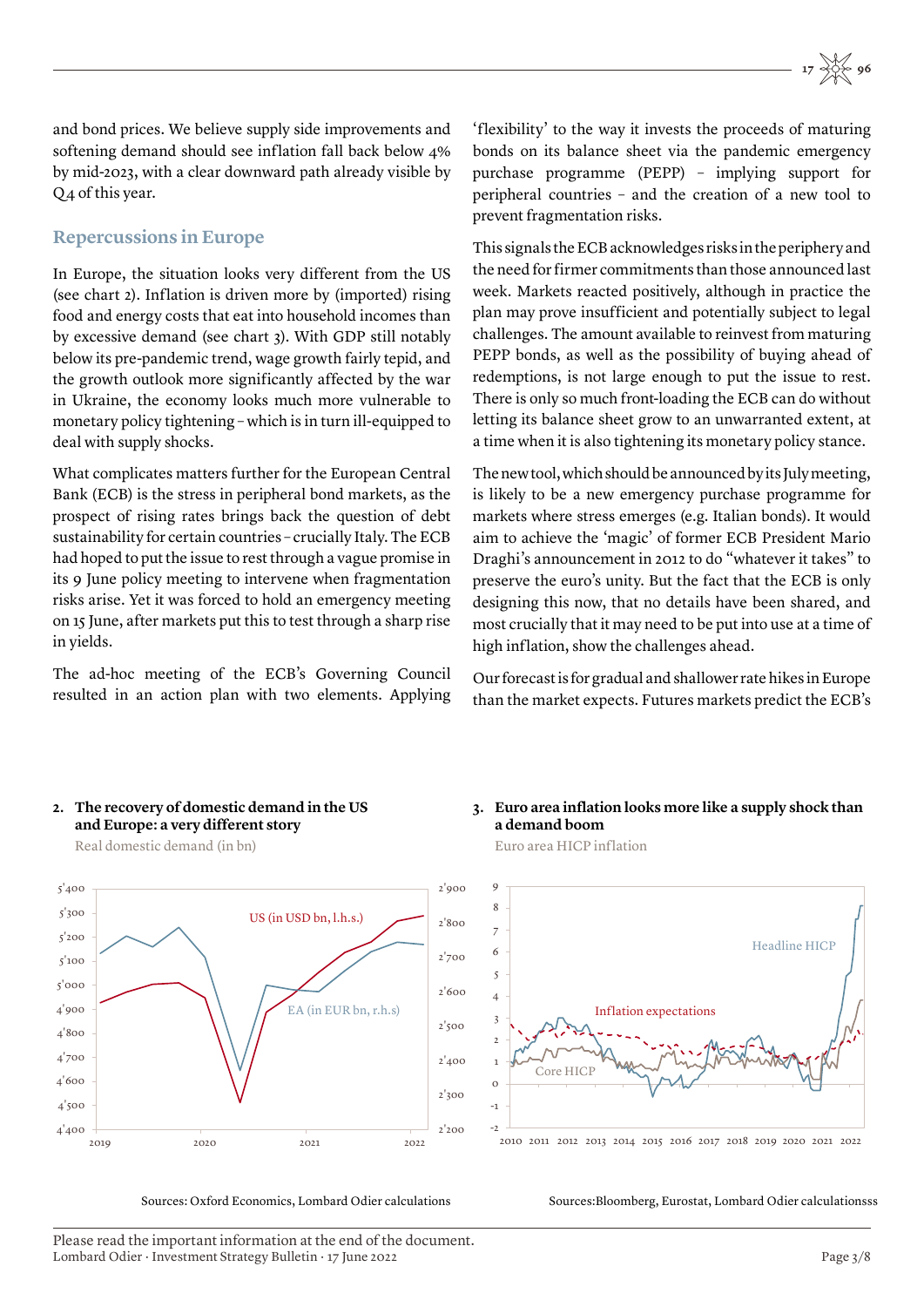and bond prices. We believe supply side improvements and softening demand should see inflation fall back below 4% by mid-2023, with a clear downward path already visible by Q4 of this year.

## **Repercussions in Europe**

In Europe, the situation looks very different from the US (see chart 2). Inflation is driven more by (imported) rising food and energy costs that eat into household incomes than by excessive demand (see chart 3). With GDP still notably below its pre-pandemic trend, wage growth fairly tepid, and the growth outlook more significantly affected by the war in Ukraine, the economy looks much more vulnerable to monetary policy tightening – which is in turn ill-equipped to deal with supply shocks.

What complicates matters further for the European Central Bank (ECB) is the stress in peripheral bond markets, as the prospect of rising rates brings back the question of debt sustainability for certain countries – crucially Italy. The ECB had hoped to put the issue to rest through a vague promise in its 9 June policy meeting to intervene when fragmentation risks arise. Yet it was forced to hold an emergency meeting on 15 June, after markets put this to test through a sharp rise in yields.

The ad-hoc meeting of the ECB's Governing Council resulted in an action plan with two elements. Applying

'flexibility' to the way it invests the proceeds of maturing bonds on its balance sheet via the pandemic emergency purchase programme (PEPP) – implying support for peripheral countries – and the creation of a new tool to prevent fragmentation risks.

This signals the ECB acknowledges risks in the periphery and the need for firmer commitments than those announced last week. Markets reacted positively, although in practice the plan may prove insufficient and potentially subject to legal challenges. The amount available to reinvest from maturing PEPP bonds, as well as the possibility of buying ahead of redemptions, is not large enough to put the issue to rest. There is only so much front-loading the ECB can do without letting its balance sheet grow to an unwarranted extent, at a time when it is also tightening its monetary policy stance.

The new tool, which should be announced by its July meeting, is likely to be a new emergency purchase programme for markets where stress emerges (e.g. Italian bonds). It would aim to achieve the 'magic' of former ECB President Mario Draghi's announcement in 2012 to do "whatever it takes" to preserve the euro's unity. But the fact that the ECB is only designing this now, that no details have been shared, and most crucially that it may need to be put into use at a time of high inflation, show the challenges ahead.

Our forecast is for gradual and shallower rate hikes in Europe than the market expects. Futures markets predict the ECB's

## **2. The recovery of domestic demand in the US and Europe: a very different story**  Real domestic demand (in bn)



Sources: Oxford Economics, Lombard Odier calculations

## **3. Euro area inflation looks more like a supply shock than a demand boom**

Euro area HICP inflation



2010 2011 2012 2013 2014 2015 2016 2017 2018 2019 2020 2021 2022

Sources:Bloomberg, Eurostat, Lombard Odier calculationsss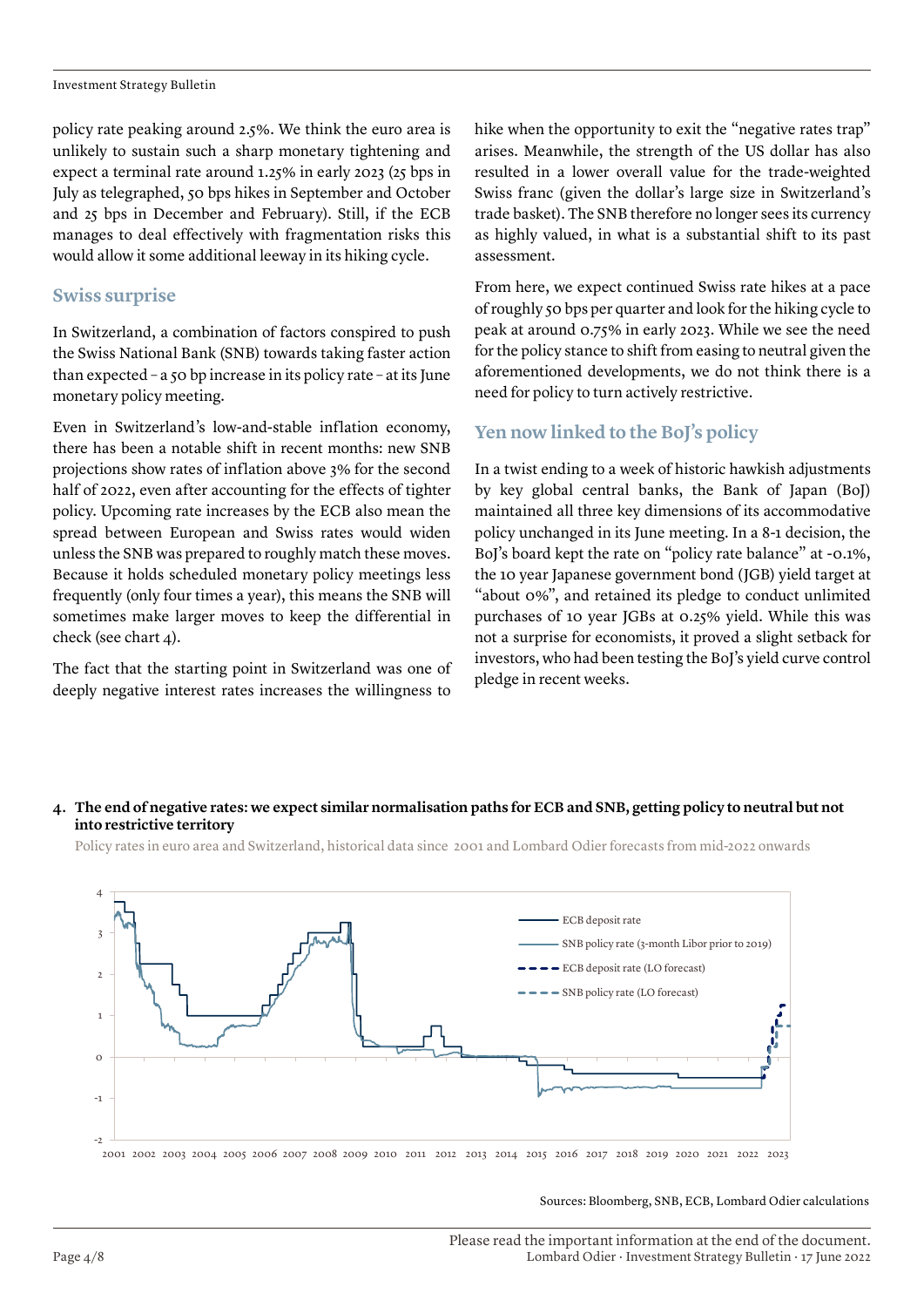Investment Strategy Bulletin

policy rate peaking around 2.5%. We think the euro area is unlikely to sustain such a sharp monetary tightening and expect a terminal rate around 1.25% in early 2023 (25 bps in July as telegraphed, 50 bps hikes in September and October and 25 bps in December and February). Still, if the ECB manages to deal effectively with fragmentation risks this would allow it some additional leeway in its hiking cycle.

## **Swiss surprise**

In Switzerland, a combination of factors conspired to push the Swiss National Bank (SNB) towards taking faster action than expected – a 50 bp increase in its policy rate – at its June monetary policy meeting.

Even in Switzerland's low-and-stable inflation economy, there has been a notable shift in recent months: new SNB projections show rates of inflation above 3% for the second half of 2022, even after accounting for the effects of tighter policy. Upcoming rate increases by the ECB also mean the spread between European and Swiss rates would widen unless the SNB was prepared to roughly match these moves. Because it holds scheduled monetary policy meetings less frequently (only four times a year), this means the SNB will sometimes make larger moves to keep the differential in check (see chart 4).

The fact that the starting point in Switzerland was one of deeply negative interest rates increases the willingness to

hike when the opportunity to exit the "negative rates trap" arises. Meanwhile, the strength of the US dollar has also resulted in a lower overall value for the trade-weighted Swiss franc (given the dollar's large size in Switzerland's trade basket). The SNB therefore no longer sees its currency as highly valued, in what is a substantial shift to its past assessment.

From here, we expect continued Swiss rate hikes at a pace of roughly 50 bps per quarter and look for the hiking cycle to peak at around 0.75% in early 2023. While we see the need for the policy stance to shift from easing to neutral given the aforementioned developments, we do not think there is a need for policy to turn actively restrictive.

## **Yen now linked to the BoJ's policy**

In a twist ending to a week of historic hawkish adjustments by key global central banks, the Bank of Japan (BoJ) maintained all three key dimensions of its accommodative policy unchanged in its June meeting. In a 8-1 decision, the BoJ's board kept the rate on "policy rate balance" at -0.1%, the 10 year Japanese government bond (JGB) yield target at "about 0%", and retained its pledge to conduct unlimited purchases of 10 year JGBs at 0.25% yield. While this was not a surprise for economists, it proved a slight setback for investors, who had been testing the BoJ's yield curve control pledge in recent weeks.

## **4. The end of negative rates: we expect similar normalisation paths for ECB and SNB, getting policy to neutral but not into restrictive territory**

Policy rates in euro area and Switzerland, historical data since 2001 and Lombard Odier forecasts from mid-2022 onwards



Sources: Bloomberg, SNB, ECB, Lombard Odier calculations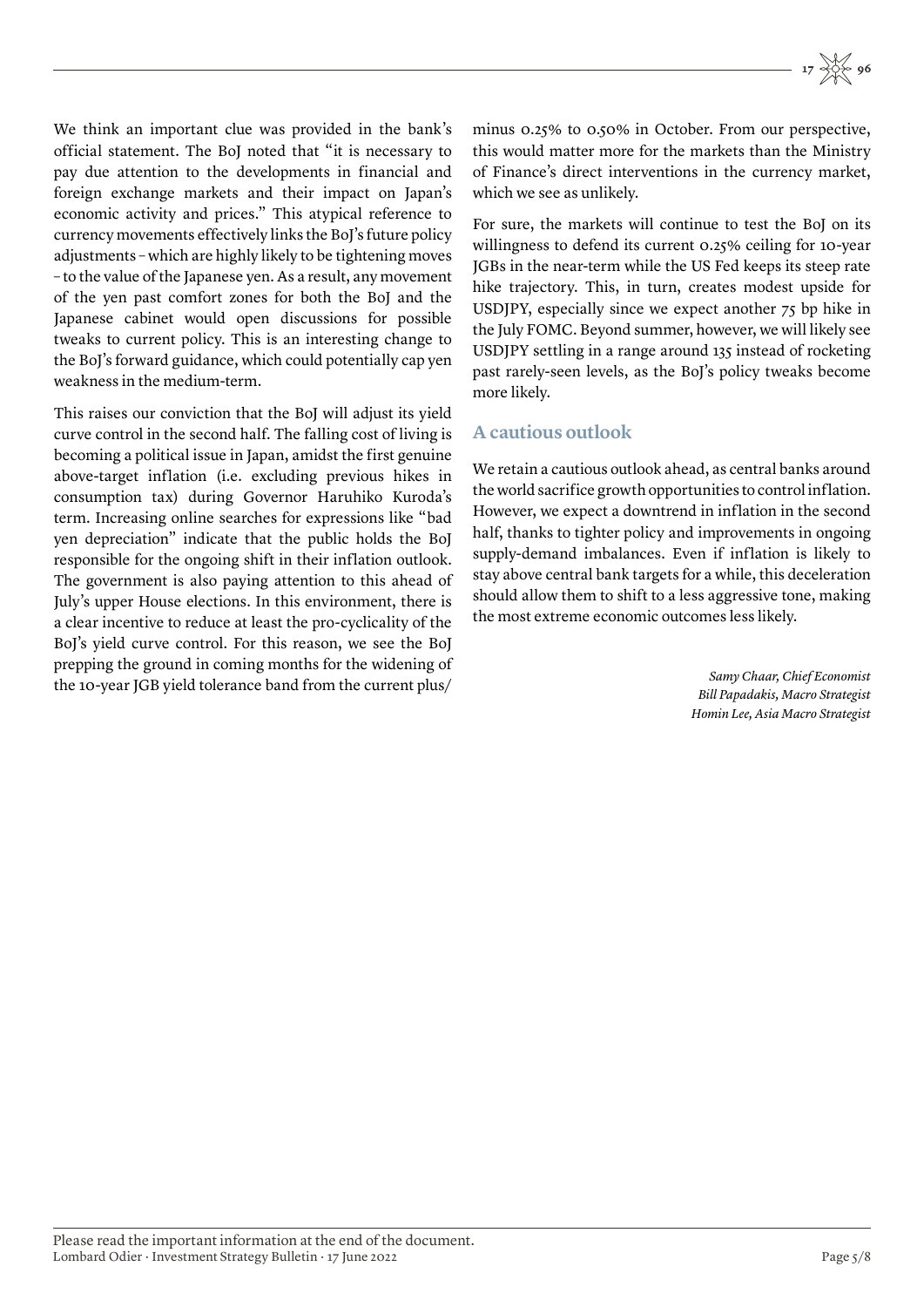We think an important clue was provided in the bank's official statement. The BoJ noted that "it is necessary to pay due attention to the developments in financial and foreign exchange markets and their impact on Japan's economic activity and prices." This atypical reference to currency movements effectively links the BoJ's future policy adjustments – which are highly likely to be tightening moves – to the value of the Japanese yen. As a result, any movement of the yen past comfort zones for both the BoJ and the Japanese cabinet would open discussions for possible tweaks to current policy. This is an interesting change to the BoJ's forward guidance, which could potentially cap yen weakness in the medium-term.

This raises our conviction that the BoJ will adjust its yield curve control in the second half. The falling cost of living is becoming a political issue in Japan, amidst the first genuine above-target inflation (i.e. excluding previous hikes in consumption tax) during Governor Haruhiko Kuroda's term. Increasing online searches for expressions like "bad yen depreciation" indicate that the public holds the BoJ responsible for the ongoing shift in their inflation outlook. The government is also paying attention to this ahead of July's upper House elections. In this environment, there is a clear incentive to reduce at least the pro-cyclicality of the BoJ's yield curve control. For this reason, we see the BoJ prepping the ground in coming months for the widening of the 10-year JGB yield tolerance band from the current plus/

minus 0.25% to 0.50% in October. From our perspective, this would matter more for the markets than the Ministry of Finance's direct interventions in the currency market, which we see as unlikely.

For sure, the markets will continue to test the BoJ on its willingness to defend its current 0.25% ceiling for 10-year JGBs in the near-term while the US Fed keeps its steep rate hike trajectory. This, in turn, creates modest upside for USDJPY, especially since we expect another 75 bp hike in the July FOMC. Beyond summer, however, we will likely see USDJPY settling in a range around 135 instead of rocketing past rarely-seen levels, as the BoJ's policy tweaks become more likely.

## **A cautious outlook**

We retain a cautious outlook ahead, as central banks around the world sacrifice growth opportunities to control inflation. However, we expect a downtrend in inflation in the second half, thanks to tighter policy and improvements in ongoing supply-demand imbalances. Even if inflation is likely to stay above central bank targets for a while, this deceleration should allow them to shift to a less aggressive tone, making the most extreme economic outcomes less likely.

> *Samy Chaar, Chief Economist Bill Papadakis, Macro Strategist Homin Lee, Asia Macro Strategist*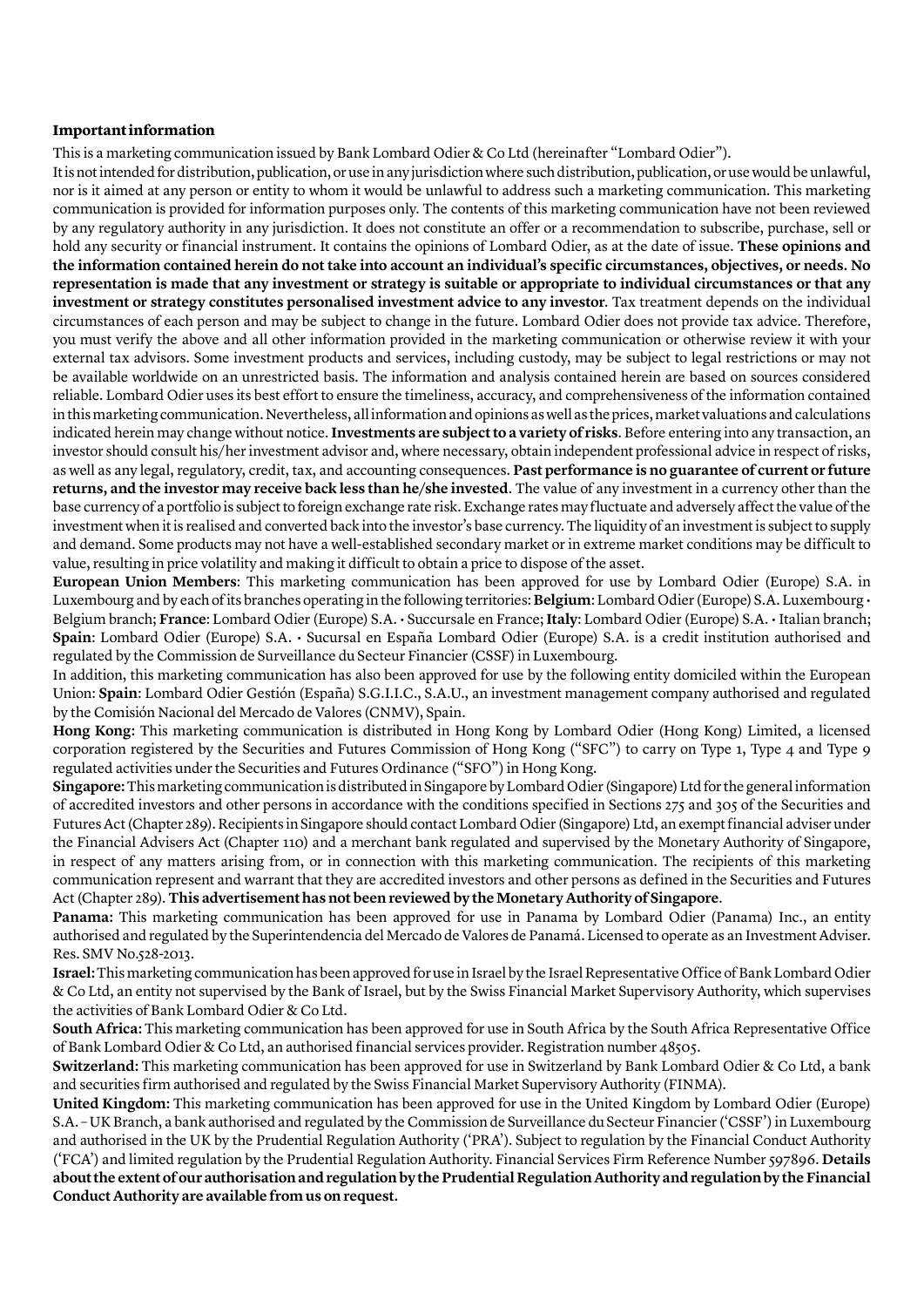### **Important information**

This is a marketing communication issued by Bank Lombard Odier & Co Ltd (hereinafter "Lombard Odier").

It is not intended for distribution, publication, or use in any jurisdiction where such distribution, publication, or use would be unlawful, nor is it aimed at any person or entity to whom it would be unlawful to address such a marketing communication. This marketing communication is provided for information purposes only. The contents of this marketing communication have not been reviewed by any regulatory authority in any jurisdiction. It does not constitute an offer or a recommendation to subscribe, purchase, sell or hold any security or financial instrument. It contains the opinions of Lombard Odier, as at the date of issue. **These opinions and the information contained herein do not take into account an individual's specific circumstances, objectives, or needs. No representation is made that any investment or strategy is suitable or appropriate to individual circumstances or that any investment or strategy constitutes personalised investment advice to any investor**. Tax treatment depends on the individual circumstances of each person and may be subject to change in the future. Lombard Odier does not provide tax advice. Therefore, you must verify the above and all other information provided in the marketing communication or otherwise review it with your external tax advisors. Some investment products and services, including custody, may be subject to legal restrictions or may not be available worldwide on an unrestricted basis. The information and analysis contained herein are based on sources considered reliable. Lombard Odier uses its best effort to ensure the timeliness, accuracy, and comprehensiveness of the information contained in this marketing communication. Nevertheless, all information and opinions as well as the prices, market valuations and calculations indicated herein may change without notice. **Investments are subject to a variety of risks**. Before entering into any transaction, an investor should consult his/her investment advisor and, where necessary, obtain independent professional advice in respect of risks, as well as any legal, regulatory, credit, tax, and accounting consequences. **Past performance is no guarantee of current or future returns, and the investor may receive back less than he/she invested**. The value of any investment in a currency other than the base currency of a portfolio is subject to foreign exchange rate risk. Exchange rates may fluctuate and adversely affect the value of the investment when it is realised and converted back into the investor's base currency. The liquidity of an investment is subject to supply and demand. Some products may not have a well-established secondary market or in extreme market conditions may be difficult to value, resulting in price volatility and making it difficult to obtain a price to dispose of the asset.

**European Union Members**: This marketing communication has been approved for use by Lombard Odier (Europe) S.A. in Luxembourg and by each of its branches operating in the following territories: **Belgium**: Lombard Odier (Europe) S.A. Luxembourg • Belgium branch; **France**: Lombard Odier (Europe) S.A. • Succursale en France; **Italy**: Lombard Odier (Europe) S.A. • Italian branch; **Spain**: Lombard Odier (Europe) S.A. • Sucursal en España Lombard Odier (Europe) S.A. is a credit institution authorised and regulated by the Commission de Surveillance du Secteur Financier (CSSF) in Luxembourg.

In addition, this marketing communication has also been approved for use by the following entity domiciled within the European Union: **Spain**: Lombard Odier Gestión (España) S.G.I.I.C., S.A.U., an investment management company authorised and regulated by the Comisión Nacional del Mercado de Valores (CNMV), Spain.

**Hong Kong:** This marketing communication is distributed in Hong Kong by Lombard Odier (Hong Kong) Limited, a licensed corporation registered by the Securities and Futures Commission of Hong Kong ("SFC") to carry on Type 1, Type 4 and Type 9 regulated activities under the Securities and Futures Ordinance ("SFO") in Hong Kong.

**Singapore:** This marketing communication is distributed in Singapore by Lombard Odier (Singapore) Ltd for the general information of accredited investors and other persons in accordance with the conditions specified in Sections 275 and 305 of the Securities and Futures Act (Chapter 289). Recipients in Singapore should contact Lombard Odier (Singapore) Ltd, an exempt financial adviser under the Financial Advisers Act (Chapter 110) and a merchant bank regulated and supervised by the Monetary Authority of Singapore, in respect of any matters arising from, or in connection with this marketing communication. The recipients of this marketing communication represent and warrant that they are accredited investors and other persons as defined in the Securities and Futures Act (Chapter 289). **This advertisement has not been reviewed by the Monetary Authority of Singapore**.

**Panama:** This marketing communication has been approved for use in Panama by Lombard Odier (Panama) Inc., an entity authorised and regulated by the Superintendencia del Mercado de Valores de Panamá. Licensed to operate as an Investment Adviser. Res. SMV No.528-2013.

**Israel:** This marketing communication has been approved for use in Israel by the Israel Representative Office of Bank Lombard Odier & Co Ltd, an entity not supervised by the Bank of Israel, but by the Swiss Financial Market Supervisory Authority, which supervises the activities of Bank Lombard Odier & Co Ltd.

**South Africa:** This marketing communication has been approved for use in South Africa by the South Africa Representative Office of Bank Lombard Odier & Co Ltd, an authorised financial services provider. Registration number 48505.

**Switzerland:** This marketing communication has been approved for use in Switzerland by Bank Lombard Odier & Co Ltd, a bank and securities firm authorised and regulated by the Swiss Financial Market Supervisory Authority (FINMA).

**United Kingdom:** This marketing communication has been approved for use in the United Kingdom by Lombard Odier (Europe) S.A. – UK Branch, a bank authorised and regulated by the Commission de Surveillance du Secteur Financier ('CSSF') in Luxembourg and authorised in the UK by the Prudential Regulation Authority ('PRA'). Subject to regulation by the Financial Conduct Authority ('FCA') and limited regulation by the Prudential Regulation Authority. Financial Services Firm Reference Number 597896. **Details about the extent of our authorisation and regulation by the Prudential Regulation Authority and regulation by the Financial Conduct Authority are available from us on request.**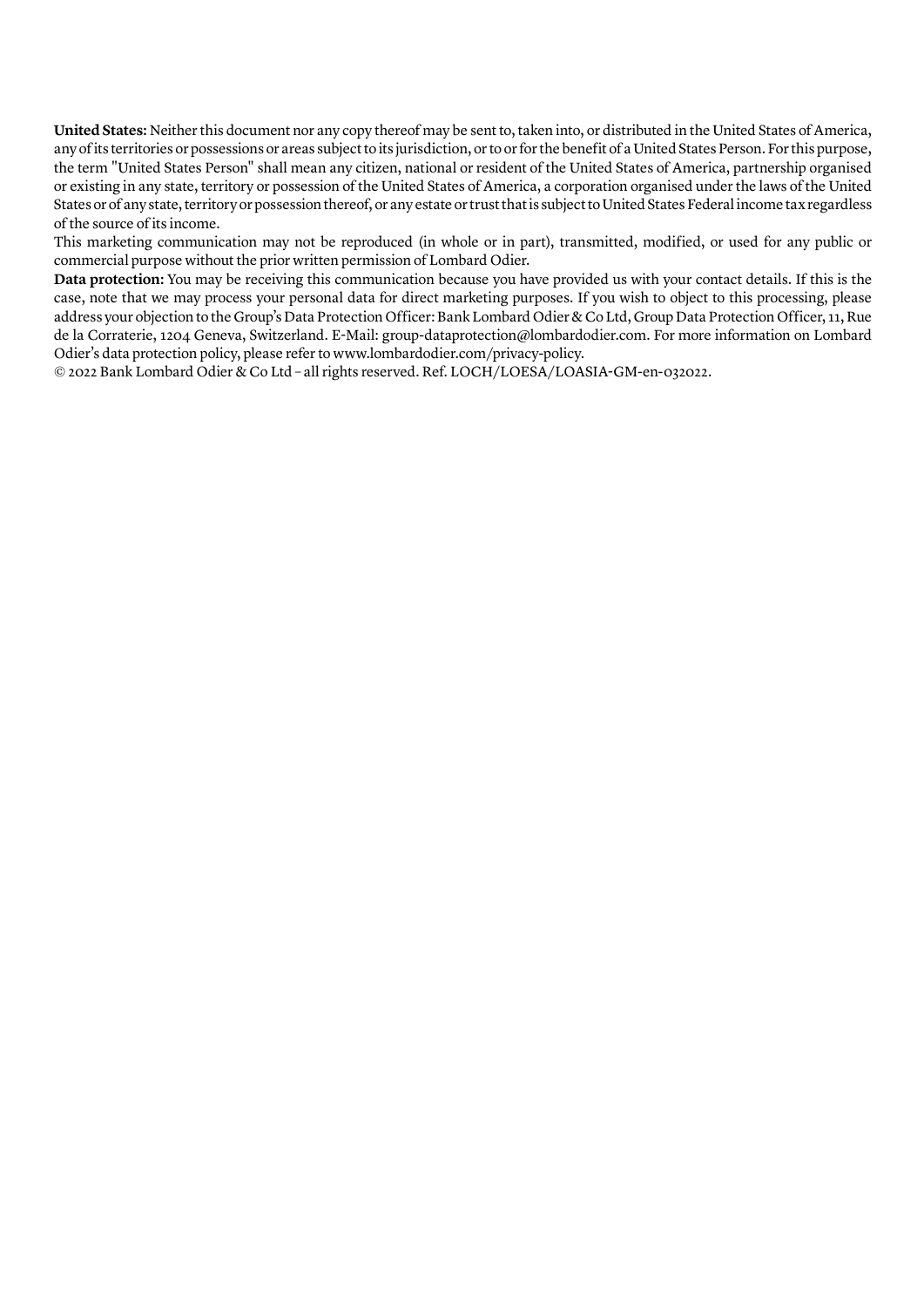**United States:** Neither this document nor any copy thereof may be sent to, taken into, or distributed in the United States of America, any of its territories or possessions or areas subject to its jurisdiction, or to or for the benefit of a United States Person. For this purpose, the term "United States Person" shall mean any citizen, national or resident of the United States of America, partnership organised or existing in any state, territory or possession of the United States of America, a corporation organised under the laws of the United States or of any state, territory or possession thereof, or any estate or trust that is subject to United States Federal income tax regardless of the source of its income.

This marketing communication may not be reproduced (in whole or in part), transmitted, modified, or used for any public or commercial purpose without the prior written permission of Lombard Odier.

**Data protection:** You may be receiving this communication because you have provided us with your contact details. If this is the case, note that we may process your personal data for direct marketing purposes. If you wish to object to this processing, please address your objection to the Group's Data Protection Officer: Bank Lombard Odier & Co Ltd, Group Data Protection Officer, 11, Rue de la Corraterie, 1204 Geneva, Switzerland. E-Mail: group-dataprotection@lombardodier.com. For more information on Lombard Odier's data protection policy, please refer to www.lombardodier.com/privacy-policy.

© 2022 Bank Lombard Odier & Co Ltd – all rights reserved. Ref. LOCH/LOESA/LOASIA-GM-en-032022.